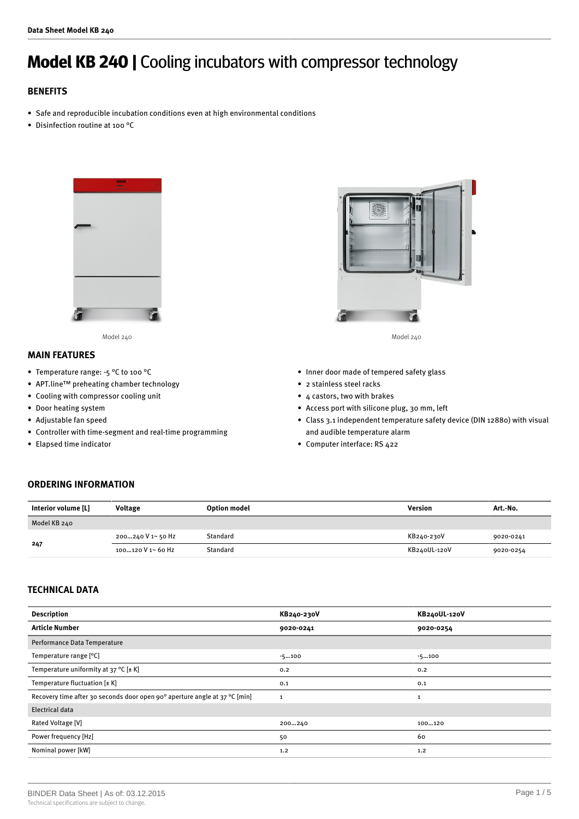# **Model KB 240 |** Cooling incubators with compressor technology

# **BENEFITS**

- Safe and reproducible incubation conditions even at high environmental conditions
- Disinfection routine at 100 °C



## **MAIN FEATURES**

- Temperature range: -5 °C to 100 °C
- APT.line™ preheating chamber technology
- Cooling with compressor cooling unit
- Door heating system
- Adjustable fan speed
- Controller with time-segment and real-time programming
- Elapsed time indicator



Model 240 Model 240

- Inner door made of tempered safety glass
- 2 stainless steel racks
- 4 castors, two with brakes
- Access port with silicone plug, 30 mm, left
- Class 3.1 independent temperature safety device (DIN 12880) with visual and audible temperature alarm
- Computer interface: RS 422

# **ORDERING INFORMATION**

| Interior volume [L] | <b>Voltage</b>     | <b>Option model</b> | Version      | Art.-No.  |
|---------------------|--------------------|---------------------|--------------|-----------|
| Model KB 240        |                    |                     |              |           |
| 247                 | 200…240 V 1~ 50 Hz | Standard            | KB240-230V   | 9020-0241 |
|                     | 100120 V 1~ 60 Hz  | Standard            | KB240UL-120V | 9020-0254 |

### **TECHNICAL DATA**

| <b>Description</b>                                                         | KB240-230V   | KB240UL-120V |
|----------------------------------------------------------------------------|--------------|--------------|
| <b>Article Number</b>                                                      | 9020-0241    | 9020-0254    |
| Performance Data Temperature                                               |              |              |
| Temperature range [°C]                                                     | $-5100$      | $-5100$      |
| Temperature uniformity at 37 °C $[\pm K]$                                  | 0.2          | 0.2          |
| Temperature fluctuation $[\pm K]$                                          | 0.1          | 0.1          |
| Recovery time after 30 seconds door open 90° aperture angle at 37 °C [min] | $\mathbf{1}$ | 1            |
| Electrical data                                                            |              |              |
| Rated Voltage [V]                                                          | 200240       | 100120       |
| Power frequency [Hz]                                                       | 50           | 60           |
| Nominal power [kW]                                                         | 1.2          | 1.2          |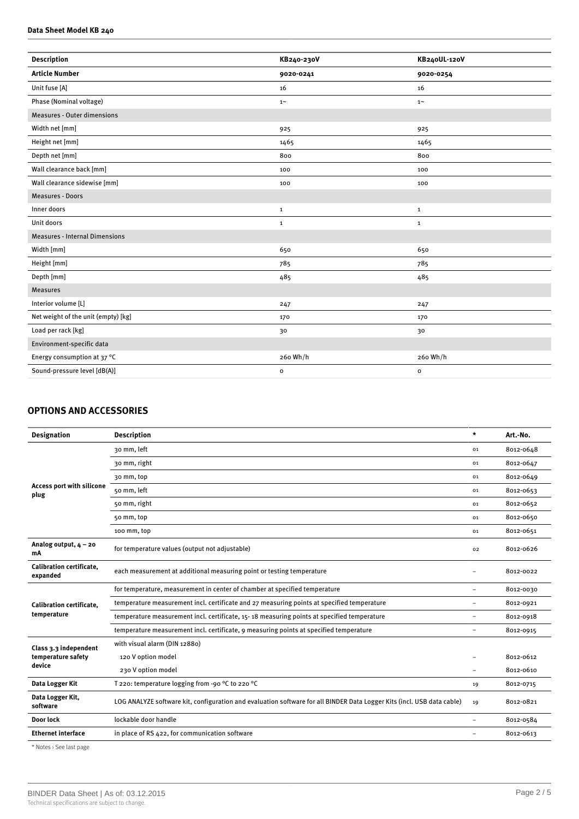#### **Data Sheet Model KB 240**

| <b>Description</b>                    | KB240-230V   | KB240UL-120V |
|---------------------------------------|--------------|--------------|
| <b>Article Number</b>                 | 9020-0241    | 9020-0254    |
| Unit fuse [A]                         | 16           | 16           |
| Phase (Nominal voltage)               | $1^{\sim}$   | $1~\sim$     |
| <b>Measures - Outer dimensions</b>    |              |              |
| Width net [mm]                        | 925          | 925          |
| Height net [mm]                       | 1465         | 1465         |
| Depth net [mm]                        | 800          | 800          |
| Wall clearance back [mm]              | 100          | 100          |
| Wall clearance sidewise [mm]          | 100          | 100          |
| Measures - Doors                      |              |              |
| Inner doors                           | $\mathbf 1$  | $\mathbf{1}$ |
| Unit doors                            | $\mathbf{1}$ | $\mathbf{1}$ |
| <b>Measures - Internal Dimensions</b> |              |              |
| Width [mm]                            | 650          | 650          |
| Height [mm]                           | 785          | 785          |
| Depth [mm]                            | 485          | 485          |
| <b>Measures</b>                       |              |              |
| Interior volume [L]                   | 247          | 247          |
| Net weight of the unit (empty) [kg]   | 170          | 170          |
| Load per rack [kg]                    | 30           | 30           |
| Environment-specific data             |              |              |
| Energy consumption at 37 °C           | 260 Wh/h     | 260 Wh/h     |
| Sound-pressure level [dB(A)]          | $\mathbf{o}$ | $\mathbf{o}$ |
|                                       |              |              |

# **OPTIONS AND ACCESSORIES**

| <b>Designation</b>                                                                                                                                                                                                                                                                                                                                                                                                 | <b>Description</b>                                                                                                     | $\star$                  | Art.-No.  |
|--------------------------------------------------------------------------------------------------------------------------------------------------------------------------------------------------------------------------------------------------------------------------------------------------------------------------------------------------------------------------------------------------------------------|------------------------------------------------------------------------------------------------------------------------|--------------------------|-----------|
|                                                                                                                                                                                                                                                                                                                                                                                                                    | 30 mm, left                                                                                                            | 01                       | 8012-0648 |
|                                                                                                                                                                                                                                                                                                                                                                                                                    | 30 mm, right                                                                                                           | 01                       | 8012-0647 |
| <b>Access port with silicone</b><br>plug                                                                                                                                                                                                                                                                                                                                                                           | 30 mm, top                                                                                                             | 01                       | 8012-0649 |
|                                                                                                                                                                                                                                                                                                                                                                                                                    | 50 mm, left                                                                                                            | 01                       | 8012-0653 |
|                                                                                                                                                                                                                                                                                                                                                                                                                    | 50 mm, right                                                                                                           | 01                       | 8012-0652 |
|                                                                                                                                                                                                                                                                                                                                                                                                                    | 50 mm, top                                                                                                             | 01                       | 8012-0650 |
|                                                                                                                                                                                                                                                                                                                                                                                                                    | 100 mm, top                                                                                                            | 01                       | 8012-0651 |
| Analog output, $4 - 20$<br>mA                                                                                                                                                                                                                                                                                                                                                                                      | for temperature values (output not adjustable)                                                                         | 02                       | 8012-0626 |
| <b>Calibration certificate.</b><br>expanded                                                                                                                                                                                                                                                                                                                                                                        | each measurement at additional measuring point or testing temperature                                                  |                          | 8012-0022 |
| for temperature, measurement in center of chamber at specified temperature<br>temperature measurement incl. certificate and 27 measuring points at specified temperature<br><b>Calibration certificate.</b><br>temperature<br>temperature measurement incl. certificate, 15-18 measuring points at specified temperature<br>temperature measurement incl. certificate, 9 measuring points at specified temperature |                                                                                                                        | $\overline{\phantom{0}}$ | 8012-0030 |
|                                                                                                                                                                                                                                                                                                                                                                                                                    |                                                                                                                        |                          | 8012-0921 |
|                                                                                                                                                                                                                                                                                                                                                                                                                    | $\rightarrow$                                                                                                          | 8012-0918                |           |
|                                                                                                                                                                                                                                                                                                                                                                                                                    |                                                                                                                        | $\rightarrow$            | 8012-0915 |
| Class 3.3 independent<br>temperature safety<br>device                                                                                                                                                                                                                                                                                                                                                              | with visual alarm (DIN 12880)                                                                                          |                          |           |
|                                                                                                                                                                                                                                                                                                                                                                                                                    | 120 V option model                                                                                                     |                          | 8012-0612 |
|                                                                                                                                                                                                                                                                                                                                                                                                                    | 230 V option model                                                                                                     | $\rightarrow$            | 8012-0610 |
| Data Logger Kit                                                                                                                                                                                                                                                                                                                                                                                                    | T 220: temperature logging from -90 °C to 220 °C                                                                       | 19                       | 8012-0715 |
| Data Logger Kit,<br>software                                                                                                                                                                                                                                                                                                                                                                                       | LOG ANALYZE software kit, configuration and evaluation software for all BINDER Data Logger Kits (incl. USB data cable) | 19                       | 8012-0821 |
| Door lock                                                                                                                                                                                                                                                                                                                                                                                                          | lockable door handle                                                                                                   | $\overline{\phantom{0}}$ | 8012-0584 |
| <b>Ethernet interface</b>                                                                                                                                                                                                                                                                                                                                                                                          | in place of RS 422, for communication software                                                                         | $\overline{\phantom{0}}$ | 8012-0613 |
|                                                                                                                                                                                                                                                                                                                                                                                                                    |                                                                                                                        |                          |           |

\* Notes › See last page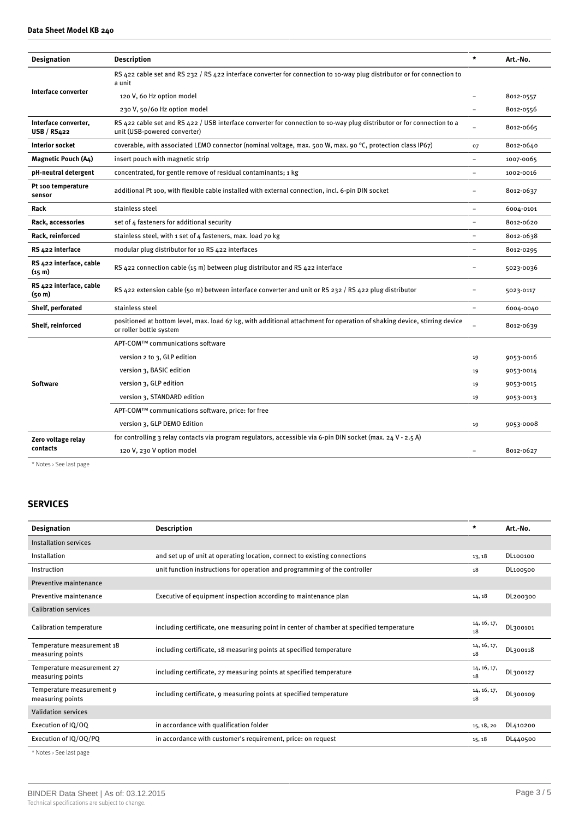| <b>Designation</b>                            | <b>Description</b>                                                                                                                                     | $\star$  | Art.-No.  |
|-----------------------------------------------|--------------------------------------------------------------------------------------------------------------------------------------------------------|----------|-----------|
|                                               | RS 422 cable set and RS 232 / RS 422 interface converter for connection to 10-way plug distributor or for connection to<br>a unit                      |          |           |
| Interface converter                           | 120 V, 60 Hz option model                                                                                                                              |          | 8012-0557 |
|                                               | 230 V, 50/60 Hz option model                                                                                                                           |          | 8012-0556 |
| Interface converter,<br>USB/RS422             | RS 422 cable set and RS 422 / USB interface converter for connection to 10-way plug distributor or for connection to a<br>unit (USB-powered converter) |          | 8012-0665 |
| <b>Interior socket</b>                        | coverable, with associated LEMO connector (nominal voltage, max. 500 W, max. 90 °C, protection class IP67)                                             | 07       | 8012-0640 |
| <b>Magnetic Pouch (A4)</b>                    | insert pouch with magnetic strip                                                                                                                       |          | 1007-0065 |
| pH-neutral detergent                          | concentrated, for gentle remove of residual contaminants; 1 kg                                                                                         |          | 1002-0016 |
| Pt 100 temperature<br>sensor                  | additional Pt 100, with flexible cable installed with external connection, incl. 6-pin DIN socket                                                      |          | 8012-0637 |
| Rack                                          | stainless steel                                                                                                                                        |          | 6004-0101 |
| Rack, accessories                             | set of 4 fasteners for additional security                                                                                                             |          | 8012-0620 |
| Rack, reinforced                              | stainless steel, with 1 set of 4 fasteners, max. load 70 kg                                                                                            |          | 8012-0638 |
| RS 422 interface                              | modular plug distributor for 10 RS 422 interfaces                                                                                                      |          | 8012-0295 |
| RS 422 interface, cable<br>(15 <sub>m</sub> ) | RS 422 connection cable (15 m) between plug distributor and RS 422 interface                                                                           |          | 5023-0036 |
| RS 422 interface, cable<br>(50 <sub>m</sub> ) | RS 422 extension cable (50 m) between interface converter and unit or RS 232 / RS 422 plug distributor                                                 |          | 5023-0117 |
| Shelf, perforated                             | stainless steel                                                                                                                                        | $\equiv$ | 6004-0040 |
| Shelf, reinforced                             | positioned at bottom level, max. load 67 kg, with additional attachment for operation of shaking device, stirring device<br>or roller bottle system    |          | 8012-0639 |
|                                               | APT-COM™ communications software                                                                                                                       |          |           |
|                                               | version 2 to 3, GLP edition                                                                                                                            | 19       | 9053-0016 |
| <b>Software</b>                               | version 3, BASIC edition                                                                                                                               | 19       | 9053-0014 |
|                                               | version 3, GLP edition                                                                                                                                 |          | 9053-0015 |
|                                               | version 3, STANDARD edition                                                                                                                            | 19       | 9053-0013 |
|                                               | APT-COM™ communications software, price: for free                                                                                                      |          |           |
|                                               | version 3, GLP DEMO Edition                                                                                                                            | 19       | 9053-0008 |
| Zero voltage relay                            | for controlling 3 relay contacts via program regulators, accessible via 6-pin DIN socket (max. 24 V - 2.5 A)                                           |          |           |
| contacts                                      | 120 V, 230 V option model                                                                                                                              |          | 8012-0627 |
|                                               |                                                                                                                                                        |          |           |

\* Notes › See last page

# **SERVICES**

| <b>Designation</b>                             | <b>Description</b>                                                                       | $\star$           | Art.-No. |
|------------------------------------------------|------------------------------------------------------------------------------------------|-------------------|----------|
| <b>Installation services</b>                   |                                                                                          |                   |          |
| Installation                                   | and set up of unit at operating location, connect to existing connections                | 13, 18            | DL100100 |
| Instruction                                    | unit function instructions for operation and programming of the controller               | 18                | DL100500 |
| Preventive maintenance                         |                                                                                          |                   |          |
| Preventive maintenance                         | Executive of equipment inspection according to maintenance plan                          | 14, 18            | DL200300 |
| <b>Calibration services</b>                    |                                                                                          |                   |          |
| Calibration temperature                        | including certificate, one measuring point in center of chamber at specified temperature | 14, 16, 17,<br>18 | DL300101 |
| Temperature measurement 18<br>measuring points | including certificate, 18 measuring points at specified temperature                      | 14, 16, 17,<br>18 | DL300118 |
| Temperature measurement 27<br>measuring points | including certificate, 27 measuring points at specified temperature                      | 14, 16, 17,<br>18 | DL300127 |
| Temperature measurement 9<br>measuring points  | including certificate, 9 measuring points at specified temperature                       | 14, 16, 17,<br>18 | DL300109 |
| <b>Validation services</b>                     |                                                                                          |                   |          |
| Execution of IQ/OQ                             | in accordance with qualification folder                                                  | 15, 18, 20        | DL410200 |
| Execution of IQ/OQ/PQ                          | in accordance with customer's requirement, price: on request                             | 15, 18            | DL440500 |

\* Notes › See last page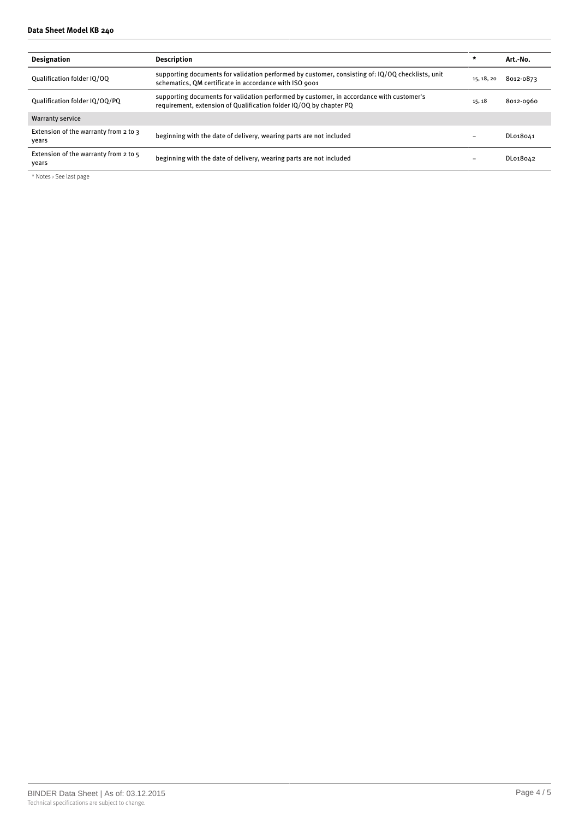#### **Data Sheet Model KB 240**

| <b>Designation</b>                             | Description                                                                                                                                                    | $\star$    | Art.-No.  |
|------------------------------------------------|----------------------------------------------------------------------------------------------------------------------------------------------------------------|------------|-----------|
| Oualification folder IO/OO                     | supporting documents for validation performed by customer, consisting of: IQ/OQ checklists, unit<br>schematics, QM certificate in accordance with ISO 9001     | 15, 18, 20 | 8012-0873 |
| Oualification folder IO/OO/PO                  | supporting documents for validation performed by customer, in accordance with customer's<br>requirement, extension of Qualification folder IQ/OQ by chapter PQ | 15, 18     | 8012-0960 |
| <b>Warranty service</b>                        |                                                                                                                                                                |            |           |
| Extension of the warranty from 2 to 3<br>vears | beginning with the date of delivery, wearing parts are not included                                                                                            |            | DL018041  |
| Extension of the warranty from 2 to 5<br>years | beginning with the date of delivery, wearing parts are not included                                                                                            |            | DL018042  |

\* Notes › See last page